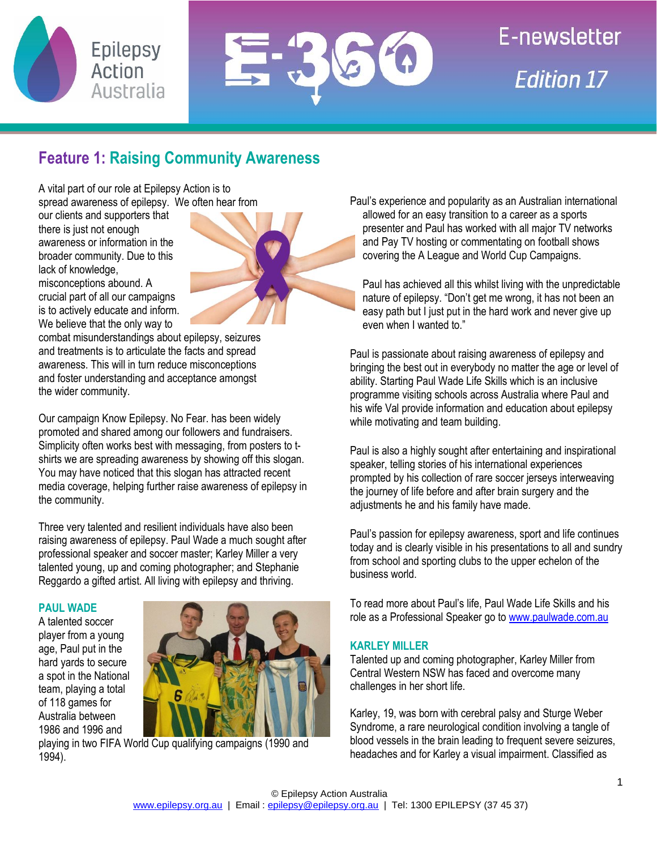



# **E-newsletter Edition 17**

# **Feature 1: Raising Community Awareness**

A vital part of our role at Epilepsy Action is to spread awareness of epilepsy. We often hear from

our clients and supporters that there is just not enough awareness or information in the broader community. Due to this lack of knowledge, misconceptions abound. A

crucial part of all our campaigns is to actively educate and inform. We believe that the only way to

combat misunderstandings about epilepsy, seizures and treatments is to articulate the facts and spread awareness. This will in turn reduce misconceptions and foster understanding and acceptance amongst the wider community.

Our campaign Know Epilepsy. No Fear. has been widely promoted and shared among our followers and fundraisers. Simplicity often works best with messaging, from posters to tshirts we are spreading awareness by showing off this slogan. You may have noticed that this slogan has attracted recent media coverage, helping further raise awareness of epilepsy in the community.

Three very talented and resilient individuals have also been raising awareness of epilepsy. Paul Wade a much sought after professional speaker and soccer master; Karley Miller a very talented young, up and coming photographer; and Stephanie Reggardo a gifted artist. All living with epilepsy and thriving.

# **PAUL WADE**

A talented soccer player from a young age, Paul put in the hard yards to secure a spot in the National team, playing a total of 118 games for Australia between 1986 and 1996 and



playing in two FIFA World Cup qualifying campaigns (1990 and 1994).

Paul's experience and popularity as an Australian international allowed for an easy transition to a career as a sports presenter and Paul has worked with all major TV networks and Pay TV hosting or commentating on football shows covering the A League and World Cup Campaigns.

Paul has achieved all this whilst living with the unpredictable nature of epilepsy. "Don't get me wrong, it has not been an easy path but I just put in the hard work and never give up even when I wanted to."

Paul is passionate about raising awareness of epilepsy and bringing the best out in everybody no matter the age or level of ability. Starting Paul Wade Life Skills which is an inclusive programme visiting schools across Australia where Paul and his wife Val provide information and education about epilepsy while motivating and team building.

Paul is also a highly sought after entertaining and inspirational speaker, telling stories of his international experiences prompted by his collection of rare soccer jerseys interweaving the journey of life before and after brain surgery and the adjustments he and his family have made.

Paul's passion for epilepsy awareness, sport and life continues today and is clearly visible in his presentations to all and sundry from school and sporting clubs to the upper echelon of the business world.

To read more about Paul's life, Paul Wade Life Skills and his role as a Professional Speaker go to [www.paulwade.com.au](http://www.paulwade.com.au/)

# **KARLEY MILLER**

Talented up and coming photographer, Karley Miller from Central Western NSW has faced and overcome many challenges in her short life.

Karley, 19, was born with cerebral palsy and Sturge Weber Syndrome, a rare neurological condition involving a tangle of blood vessels in the brain leading to frequent severe seizures, headaches and for Karley a visual impairment. Classified as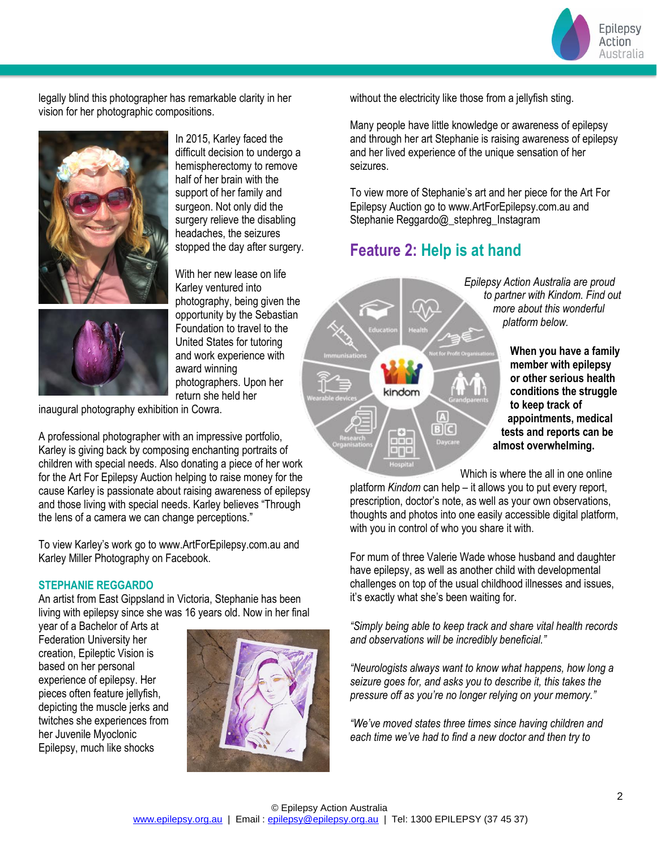Epilepsy Action Australia

legally blind this photographer has remarkable clarity in her vision for her photographic compositions.



In 2015, Karley faced the difficult decision to undergo a hemispherectomy to remove half of her brain with the support of her family and surgeon. Not only did the surgery relieve the disabling headaches, the seizures stopped the day after surgery.

With her new lease on life Karley ventured into photography, being given the opportunity by the Sebastian Foundation to travel to the United States for tutoring and work experience with award winning photographers. Upon her return she held her

inaugural photography exhibition in Cowra.

A professional photographer with an impressive portfolio, Karley is giving back by composing enchanting portraits of children with special needs. Also donating a piece of her work for the Art For Epilepsy Auction helping to raise money for the cause Karley is passionate about raising awareness of epilepsy and those living with special needs. Karley believes "Through the lens of a camera we can change perceptions."

To view Karley's work go to www.ArtForEpilepsy.com.au and Karley Miller Photography on Facebook.

## **STEPHANIE REGGARDO**

An artist from East Gippsland in Victoria, Stephanie has been living with epilepsy since she was 16 years old. Now in her final

year of a Bachelor of Arts at Federation University her creation, Epileptic Vision is based on her personal experience of epilepsy. Her pieces often feature jellyfish, depicting the muscle jerks and twitches she experiences from her Juvenile Myoclonic Epilepsy, much like shocks



without the electricity like those from a jellyfish sting.

Many people have little knowledge or awareness of epilepsy and through her art Stephanie is raising awareness of epilepsy and her lived experience of the unique sensation of her seizures.

To view more of Stephanie's art and her piece for the Art For Epilepsy Auction go to www.ArtForEpilepsy.com.au and Stephanie Reggardo@\_stephreg\_Instagram

# **Feature 2: Help is at hand**



Which is where the all in one online

platform *Kindom* can help – it allows you to put every report, prescription, doctor's note, as well as your own observations, thoughts and photos into one easily accessible digital platform, with you in control of who you share it with.

For mum of three Valerie Wade whose husband and daughter have epilepsy, as well as another child with developmental challenges on top of the usual childhood illnesses and issues, it's exactly what she's been waiting for.

*"Simply being able to keep track and share vital health records and observations will be incredibly beneficial."*

*"Neurologists always want to know what happens, how long a seizure goes for, and asks you to describe it, this takes the pressure off as you're no longer relying on your memory."*

*"We've moved states three times since having children and each time we've had to find a new doctor and then try to*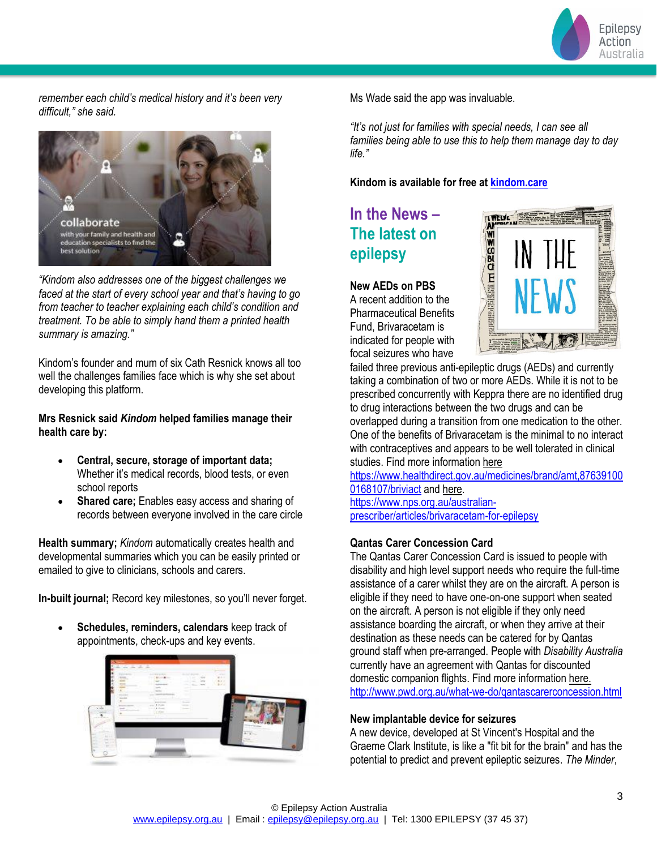

*remember each child's medical history and it's been very difficult," she said.*



*"Kindom also addresses one of the biggest challenges we faced at the start of every school year and that's having to go from teacher to teacher explaining each child's condition and treatment. To be able to simply hand them a printed health summary is amazing."*

Kindom's founder and mum of six Cath Resnick knows all too well the challenges families face which is why she set about developing this platform.

**Mrs Resnick said** *Kindom* **helped families manage their health care by:**

- **Central, secure, storage of important data;** Whether it's medical records, blood tests, or even school reports
- **Shared care;** Enables easy access and sharing of records between everyone involved in the care circle

**Health summary;** *Kindom* automatically creates health and developmental summaries which you can be easily printed or emailed to give to clinicians, schools and carers.

**In-built journal;** Record key milestones, so you'll never forget.

• **Schedules, reminders, calendars** keep track of appointments, check-ups and key events.



Ms Wade said the app was invaluable.

*"It's not just for families with special needs, I can see all families being able to use this to help them manage day to day life."*

**Kindom is available for free at [kindom.care](https://kindom.care/)** 

# **In the News – The latest on epilepsy**

# **New AEDs on PBS**

A recent addition to the Pharmaceutical Benefits Fund, Brivaracetam is indicated for people with focal seizures who have



failed three previous anti-epileptic drugs (AEDs) and currently taking a combination of two or more AEDs. While it is not to be prescribed concurrently with Keppra there are no identified drug to drug interactions between the two drugs and can be overlapped during a transition from one medication to the other. One of the benefits of Brivaracetam is the minimal to no interact with contraceptives and appears to be well tolerated in clinical studies. Find more information here

[https://www.healthdirect.gov.au/medicines/brand/amt,87639100](https://www.healthdirect.gov.au/medicines/brand/amt,876391000168107/briviact) [0168107/briviact](https://www.healthdirect.gov.au/medicines/brand/amt,876391000168107/briviact) and here.

[https://www.nps.org.au/australian](https://www.nps.org.au/australian-prescriber/articles/brivaracetam-for-epilepsy)[prescriber/articles/brivaracetam-for-epilepsy](https://www.nps.org.au/australian-prescriber/articles/brivaracetam-for-epilepsy)

# **Qantas Carer Concession Card**

The Qantas Carer Concession Card is issued to people with disability and high level support needs who require the full-time assistance of a carer whilst they are on the aircraft. A person is eligible if they need to have one-on-one support when seated on the aircraft. A person is not eligible if they only need assistance boarding the aircraft, or when they arrive at their destination as these needs can be catered for by Qantas ground staff when pre-arranged. People with *Disability Australia* currently have an agreement with Qantas for discounted domestic companion flights. Find more information here. <http://www.pwd.org.au/what-we-do/qantascarerconcession.html>

### **New implantable device for seizures**

A new device, developed at St Vincent's Hospital and the Graeme Clark Institute, is like a "fit bit for the brain" and has the potential to predict and prevent epileptic seizures. *The Minder*,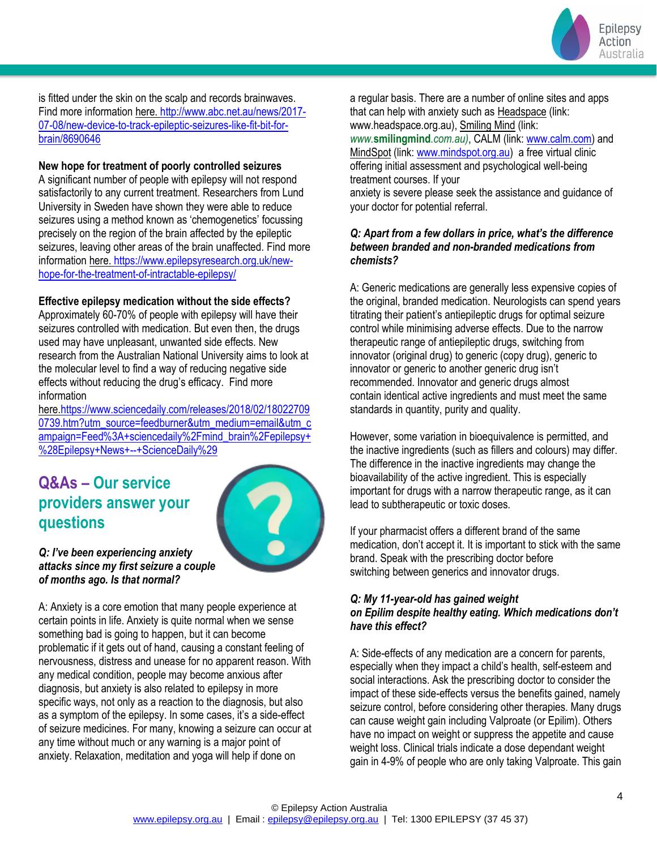

is fitted under the skin on the scalp and records brainwaves. Find more information here. [http://www.abc.net.au/news/2017-](http://www.abc.net.au/news/2017-07-08/new-device-to-track-epileptic-seizures-like-fit-bit-for-brain/8690646) [07-08/new-device-to-track-epileptic-seizures-like-fit-bit-for](http://www.abc.net.au/news/2017-07-08/new-device-to-track-epileptic-seizures-like-fit-bit-for-brain/8690646)[brain/8690646](http://www.abc.net.au/news/2017-07-08/new-device-to-track-epileptic-seizures-like-fit-bit-for-brain/8690646)

**New hope for treatment of poorly controlled seizures**

A significant number of people with epilepsy will not respond satisfactorily to any current treatment. Researchers from Lund University in Sweden have shown they were able to reduce seizures using a method known as 'chemogenetics' focussing precisely on the region of the brain affected by the epileptic seizures, leaving other areas of the brain unaffected. Find more information here. [https://www.epilepsyresearch.org.uk/new](https://www.epilepsyresearch.org.uk/new-hope-for-the-treatment-of-intractable-epilepsy/)[hope-for-the-treatment-of-intractable-epilepsy/](https://www.epilepsyresearch.org.uk/new-hope-for-the-treatment-of-intractable-epilepsy/)

## **Effective epilepsy medication without the side effects?**

Approximately 60-70% of people with epilepsy will have their seizures controlled with medication. But even then, the drugs used may have unpleasant, unwanted side effects. New research from the Australian National University aims to look at the molecular level to find a way of reducing negative side effects without reducing the drug's efficacy. Find more information

her[e.https://www.sciencedaily.com/releases/2018/02/18022709](https://www.sciencedaily.com/releases/2018/02/180227090739.htm?utm_source=feedburner&utm_medium=email&utm_campaign=Feed%3A+sciencedaily%2Fmind_brain%2Fepilepsy+%28Epilepsy+News+--+ScienceDaily%29) [0739.htm?utm\\_source=feedburner&utm\\_medium=email&utm\\_c](https://www.sciencedaily.com/releases/2018/02/180227090739.htm?utm_source=feedburner&utm_medium=email&utm_campaign=Feed%3A+sciencedaily%2Fmind_brain%2Fepilepsy+%28Epilepsy+News+--+ScienceDaily%29) [ampaign=Feed%3A+sciencedaily%2Fmind\\_brain%2Fepilepsy+](https://www.sciencedaily.com/releases/2018/02/180227090739.htm?utm_source=feedburner&utm_medium=email&utm_campaign=Feed%3A+sciencedaily%2Fmind_brain%2Fepilepsy+%28Epilepsy+News+--+ScienceDaily%29) [%28Epilepsy+News+--+ScienceDaily%29](https://www.sciencedaily.com/releases/2018/02/180227090739.htm?utm_source=feedburner&utm_medium=email&utm_campaign=Feed%3A+sciencedaily%2Fmind_brain%2Fepilepsy+%28Epilepsy+News+--+ScienceDaily%29)

# **Q&As – Our service providers answer your questions**



### *Q: I've been experiencing anxiety attacks since my first seizure a couple of months ago. Is that normal?*

A: Anxiety is a core emotion that many people experience at certain points in life. Anxiety is quite normal when we sense something bad is going to happen, but it can become problematic if it gets out of hand, causing a constant feeling of nervousness, distress and unease for no apparent reason. With any medical condition, people may become anxious after diagnosis, but anxiety is also related to epilepsy in more specific ways, not only as a reaction to the diagnosis, but also as a symptom of the epilepsy. In some cases, it's a side-effect of seizure medicines. For many, knowing a seizure can occur at any time without much or any warning is a major point of anxiety. Relaxation, meditation and yoga will help if done on

a regular basis. There are a number of online sites and apps that can help with anxiety such as Headspace (link: www.headspace.org.au), Smiling Mind (link:

*www.***smilingmind***.com.au)*, CALM (link[: www.calm.com\)](http://www.calm.com/) and MindSpot (link[: www.mindspot.org.au\)](http://www.mindspot.org.au/) a free virtual clinic offering initial assessment and psychological well-being treatment courses. If your

anxiety is severe please seek the assistance and guidance of your doctor for potential referral.

# *Q: Apart from a few dollars in price, what's the difference between branded and non-branded medications from chemists?*

A: Generic medications are generally less expensive copies of the original, branded medication. Neurologists can spend years titrating their patient's antiepileptic drugs for optimal seizure control while minimising adverse effects. Due to the narrow therapeutic range of antiepileptic drugs, switching from innovator (original drug) to generic (copy drug), generic to innovator or generic to another generic drug isn't recommended. Innovator and generic drugs almost contain identical active ingredients and must meet the same standards in quantity, purity and quality.

However, some variation in bioequivalence is permitted, and the inactive ingredients (such as fillers and colours) may differ. The difference in the inactive ingredients may change the bioavailability of the active ingredient. This is especially important for drugs with a narrow therapeutic range, as it can lead to subtherapeutic or toxic doses.

If your pharmacist offers a different brand of the same medication, don't accept it. It is important to stick with the same brand. Speak with the prescribing doctor before switching between generics and innovator drugs.

# *Q: My 11-year-old has gained weight on Epilim despite healthy eating. Which medications don't have this effect?*

A: Side-effects of any medication are a concern for parents, especially when they impact a child's health, self-esteem and social interactions. Ask the prescribing doctor to consider the impact of these side-effects versus the benefits gained, namely seizure control, before considering other therapies. Many drugs can cause weight gain including Valproate (or Epilim). Others have no impact on weight or suppress the appetite and cause weight loss. Clinical trials indicate a dose dependant weight gain in 4-9% of people who are only taking Valproate. This gain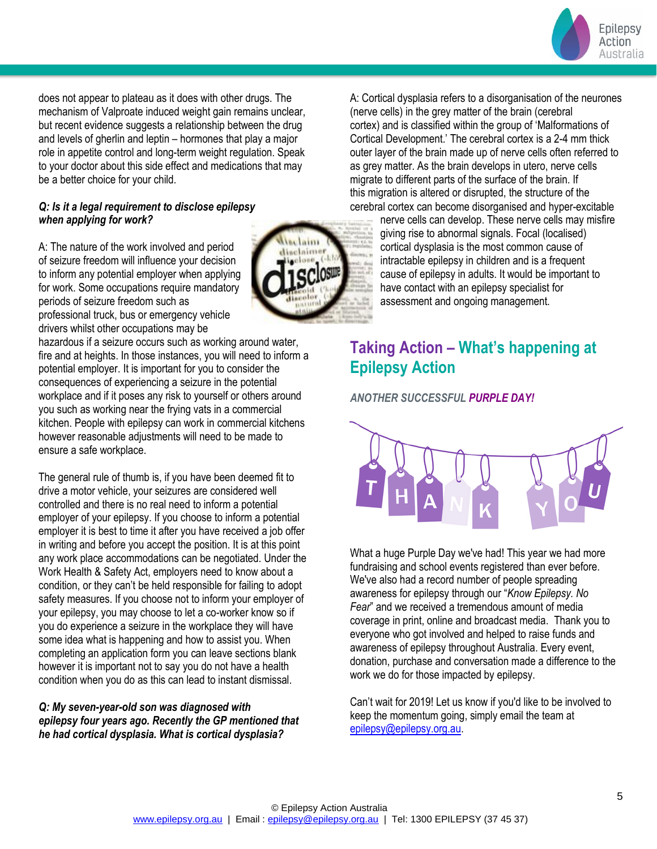

does not appear to plateau as it does with other drugs. The mechanism of Valproate induced weight gain remains unclear, but recent evidence suggests a relationship between the drug and levels of gherlin and leptin – hormones that play a major role in appetite control and long-term weight regulation. Speak to your doctor about this side effect and medications that may be a better choice for your child.

# *Q: Is it a legal requirement to disclose epilepsy when applying for work?*

A: The nature of the work involved and period of seizure freedom will influence your decision to inform any potential employer when applying for work. Some occupations require mandatory periods of seizure freedom such as professional truck, bus or emergency vehicle drivers whilst other occupations may be

hazardous if a seizure occurs such as working around water, fire and at heights. In those instances, you will need to inform a potential employer. It is important for you to consider the consequences of experiencing a seizure in the potential workplace and if it poses any risk to yourself or others around you such as working near the frying vats in a commercial kitchen. People with epilepsy can work in commercial kitchens however reasonable adjustments will need to be made to ensure a safe workplace.

The general rule of thumb is, if you have been deemed fit to drive a motor vehicle, your seizures are considered well controlled and there is no real need to inform a potential employer of your epilepsy. If you choose to inform a potential employer it is best to time it after you have received a job offer in writing and before you accept the position. It is at this point any work place accommodations can be negotiated. Under the Work Health & Safety Act, employers need to know about a condition, or they can't be held responsible for failing to adopt safety measures. If you choose not to inform your employer of your epilepsy, you may choose to let a co-worker know so if you do experience a seizure in the workplace they will have some idea what is happening and how to assist you. When completing an application form you can leave sections blank however it is important not to say you do not have a health condition when you do as this can lead to instant dismissal.

# *Q: My seven-year-old son was diagnosed with epilepsy four years ago. Recently the GP mentioned that he had cortical dysplasia. What is cortical dysplasia?*



A: Cortical dysplasia refers to a disorganisation of the neurones (nerve cells) in the grey matter of the brain (cerebral cortex) and is classified within the group of 'Malformations of Cortical Development.' The cerebral cortex is a 2-4 mm thick outer layer of the brain made up of nerve cells often referred to as grey matter. As the brain develops in utero, nerve cells migrate to different parts of the surface of the brain. If this migration is altered or disrupted, the structure of the cerebral cortex can become disorganised and hyper-excitable

nerve cells can develop. These nerve cells may misfire giving rise to abnormal signals. Focal (localised) cortical dysplasia is the most common cause of intractable epilepsy in children and is a frequent cause of epilepsy in adults. It would be important to have contact with an epilepsy specialist for assessment and ongoing management.

# **Taking Action – What's happening at Epilepsy Action**

*ANOTHER SUCCESSFUL PURPLE DAY!*



What a huge Purple Day we've had! This year we had more fundraising and school events registered than ever before. We've also had a record number of people spreading awareness for epilepsy through our "*Know Epilepsy. No Fear*" and we received a tremendous amount of media coverage in print, online and broadcast media. Thank you to everyone who got involved and helped to raise funds and awareness of epilepsy throughout Australia. Every event, donation, purchase and conversation made a difference to the work we do for those impacted by epilepsy.

Can't wait for 2019! Let us know if you'd like to be involved to keep the momentum going, simply email the team at [epilepsy@epilepsy.org.au.](mailto:epilepsy@epilepsy.org.au)